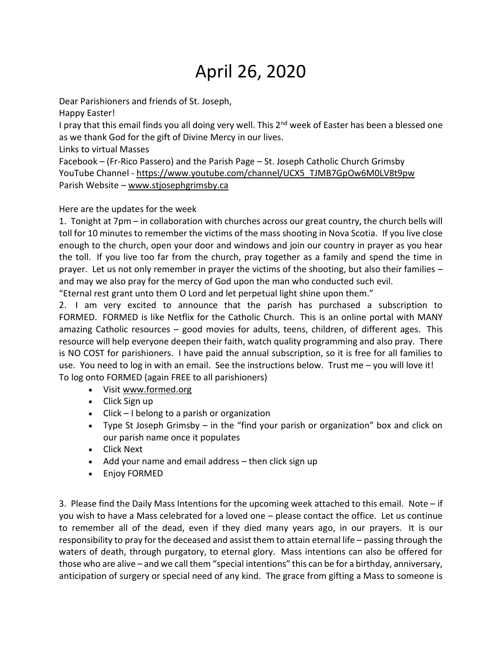## April 26, 2020

Dear Parishioners and friends of St. Joseph,

Happy Easter!

I pray that this email finds you all doing very well. This 2<sup>nd</sup> week of Easter has been a blessed one as we thank God for the gift of Divine Mercy in our lives.

Links to virtual Masses

Facebook – (Fr-Rico Passero) and the Parish Page – St. Joseph Catholic Church Grimsby YouTube Channel - [https://www.youtube.com/channel/UCX5\\_TJMB7GpOw6M0LV8t9pw](https://www.youtube.com/channel/UCX5_TJMB7GpOw6M0LV8t9pw) Parish Website – [www.stjosephgrimsby.ca](http://www.stjosephgrimsby.ca/)

Here are the updates for the week

1. Tonight at 7pm – in collaboration with churches across our great country, the church bells will toll for 10 minutes to remember the victims of the mass shooting in Nova Scotia. If you live close enough to the church, open your door and windows and join our country in prayer as you hear the toll. If you live too far from the church, pray together as a family and spend the time in prayer. Let us not only remember in prayer the victims of the shooting, but also their families – and may we also pray for the mercy of God upon the man who conducted such evil.

"Eternal rest grant unto them O Lord and let perpetual light shine upon them."

2. I am very excited to announce that the parish has purchased a subscription to FORMED. FORMED is like Netflix for the Catholic Church. This is an online portal with MANY amazing Catholic resources – good movies for adults, teens, children, of different ages. This resource will help everyone deepen their faith, watch quality programming and also pray. There is NO COST for parishioners. I have paid the annual subscription, so it is free for all families to use. You need to log in with an email. See the instructions below. Trust me – you will love it! To log onto FORMED (again FREE to all parishioners)

- Visit [www.formed.org](http://www.formed.org/)
- Click Sign up
- Click I belong to a parish or organization
- Type St Joseph Grimsby in the "find your parish or organization" box and click on our parish name once it populates
- Click Next
- Add your name and email address then click sign up
- Enjoy FORMED

3. Please find the Daily Mass Intentions for the upcoming week attached to this email. Note – if you wish to have a Mass celebrated for a loved one – please contact the office. Let us continue to remember all of the dead, even if they died many years ago, in our prayers. It is our responsibility to pray for the deceased and assist them to attain eternal life – passing through the waters of death, through purgatory, to eternal glory. Mass intentions can also be offered for those who are alive – and we call them "special intentions" this can be for a birthday, anniversary, anticipation of surgery or special need of any kind. The grace from gifting a Mass to someone is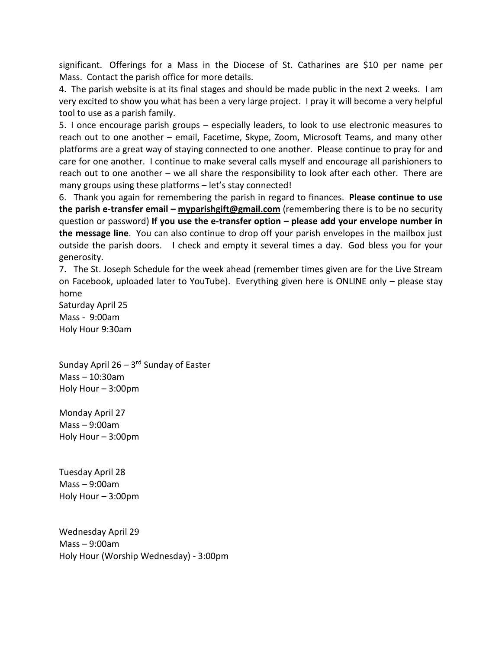significant. Offerings for a Mass in the Diocese of St. Catharines are \$10 per name per Mass. Contact the parish office for more details.

4. The parish website is at its final stages and should be made public in the next 2 weeks. I am very excited to show you what has been a very large project. I pray it will become a very helpful tool to use as a parish family.

5. I once encourage parish groups – especially leaders, to look to use electronic measures to reach out to one another – email, Facetime, Skype, Zoom, Microsoft Teams, and many other platforms are a great way of staying connected to one another. Please continue to pray for and care for one another. I continue to make several calls myself and encourage all parishioners to reach out to one another – we all share the responsibility to look after each other. There are many groups using these platforms – let's stay connected!

6. Thank you again for remembering the parish in regard to finances. **Please continue to use the parish e-transfer email – [myparishgift@gmail.com](mailto:myparishgift@gmail.com)** (remembering there is to be no security question or password) **If you use the e-transfer option – please add your envelope number in the message line**. You can also continue to drop off your parish envelopes in the mailbox just outside the parish doors. I check and empty it several times a day. God bless you for your generosity.

7. The St. Joseph Schedule for the week ahead (remember times given are for the Live Stream on Facebook, uploaded later to YouTube). Everything given here is ONLINE only – please stay home

Saturday April 25 Mass - 9:00am Holy Hour 9:30am

Sunday April 26 – 3<sup>rd</sup> Sunday of Easter Mass – 10:30am Holy Hour – 3:00pm

Monday April 27 Mass – 9:00am Holy Hour – 3:00pm

Tuesday April 28 Mass – 9:00am Holy Hour – 3:00pm

Wednesday April 29 Mass – 9:00am Holy Hour (Worship Wednesday) - 3:00pm